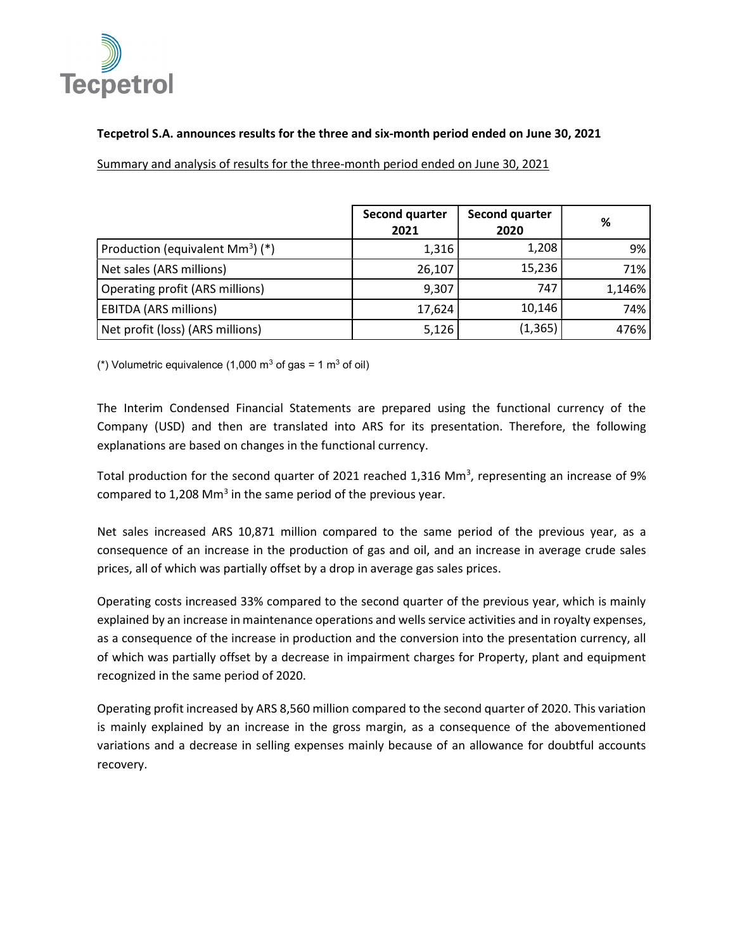

## Tecpetrol S.A. announces results for the three and six-month period ended on June 30, 2021

Summary and analysis of results for the three-month period ended on June 30, 2021

|                                    | Second quarter<br>2021 | Second quarter<br>2020 | %      |
|------------------------------------|------------------------|------------------------|--------|
| Production (equivalent $Mm3$ ) (*) | 1,316                  | 1,208                  | 9%     |
| Net sales (ARS millions)           | 26,107                 | 15,236                 | 71%    |
| Operating profit (ARS millions)    | 9,307                  | 747                    | 1,146% |
| <b>EBITDA (ARS millions)</b>       | 17,624                 | 10,146                 | 74%    |
| Net profit (loss) (ARS millions)   | 5,126                  | (1, 365)               | 476%   |

(\*) Volumetric equivalence (1,000 m<sup>3</sup> of gas = 1 m<sup>3</sup> of oil)

The Interim Condensed Financial Statements are prepared using the functional currency of the Company (USD) and then are translated into ARS for its presentation. Therefore, the following explanations are based on changes in the functional currency.

Total production for the second quarter of 2021 reached 1,316 Mm<sup>3</sup>, representing an increase of 9% compared to 1,208 Mm<sup>3</sup> in the same period of the previous year.

Net sales increased ARS 10,871 million compared to the same period of the previous year, as a consequence of an increase in the production of gas and oil, and an increase in average crude sales prices, all of which was partially offset by a drop in average gas sales prices.

Operating costs increased 33% compared to the second quarter of the previous year, which is mainly explained by an increase in maintenance operations and wells service activities and in royalty expenses, as a consequence of the increase in production and the conversion into the presentation currency, all of which was partially offset by a decrease in impairment charges for Property, plant and equipment recognized in the same period of 2020.

Operating profit increased by ARS 8,560 million compared to the second quarter of 2020. This variation is mainly explained by an increase in the gross margin, as a consequence of the abovementioned variations and a decrease in selling expenses mainly because of an allowance for doubtful accounts recovery.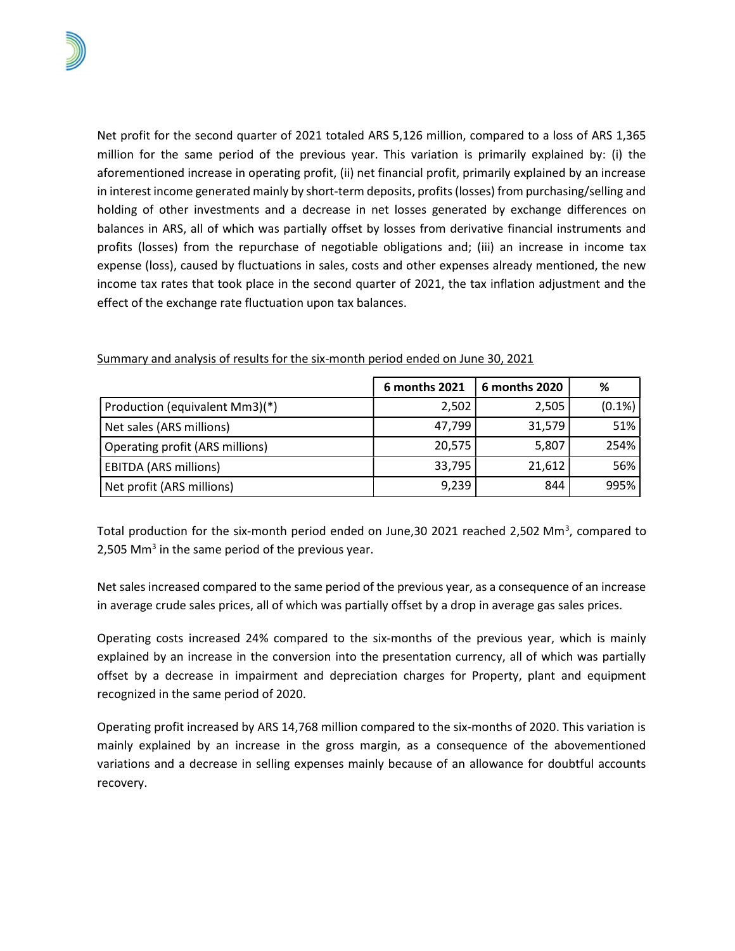Net profit for the second quarter of 2021 totaled ARS 5,126 million, compared to a loss of ARS 1,365 million for the same period of the previous year. This variation is primarily explained by: (i) the aforementioned increase in operating profit, (ii) net financial profit, primarily explained by an increase in interest income generated mainly by short-term deposits, profits (losses) from purchasing/selling and holding of other investments and a decrease in net losses generated by exchange differences on balances in ARS, all of which was partially offset by losses from derivative financial instruments and profits (losses) from the repurchase of negotiable obligations and; (iii) an increase in income tax expense (loss), caused by fluctuations in sales, costs and other expenses already mentioned, the new income tax rates that took place in the second quarter of 2021, the tax inflation adjustment and the effect of the exchange rate fluctuation upon tax balances.

|                                 | 6 months 2021 | 6 months 2020 | %         |
|---------------------------------|---------------|---------------|-----------|
| Production (equivalent Mm3)(*)  | 2,502         | 2,505         | $(0.1\%)$ |
| Net sales (ARS millions)        | 47,799        | 31,579        | 51%       |
| Operating profit (ARS millions) | 20,575        | 5,807         | 254%      |
| <b>EBITDA (ARS millions)</b>    | 33,795        | 21,612        | 56%       |
| Net profit (ARS millions)       | 9,239         | 844           | 995%      |

Summary and analysis of results for the six-month period ended on June 30, 2021

Total production for the six-month period ended on June, 30 2021 reached 2,502 Mm<sup>3</sup>, compared to 2,505 Mm<sup>3</sup> in the same period of the previous year.

Net sales increased compared to the same period of the previous year, as a consequence of an increase in average crude sales prices, all of which was partially offset by a drop in average gas sales prices.

Operating costs increased 24% compared to the six-months of the previous year, which is mainly explained by an increase in the conversion into the presentation currency, all of which was partially offset by a decrease in impairment and depreciation charges for Property, plant and equipment recognized in the same period of 2020.

Operating profit increased by ARS 14,768 million compared to the six-months of 2020. This variation is mainly explained by an increase in the gross margin, as a consequence of the abovementioned variations and a decrease in selling expenses mainly because of an allowance for doubtful accounts recovery.